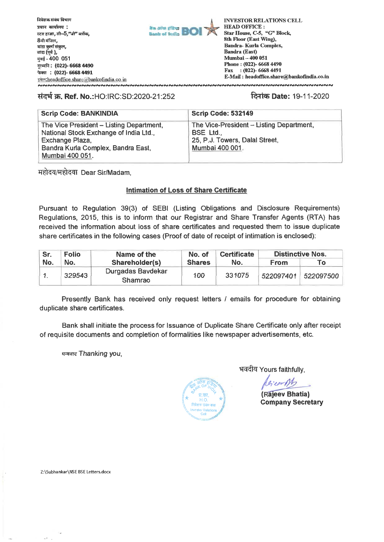



**INVESTOR RELATIONS CELL HEAD OFFICE : Star House, C-5, "G" Block, 8th Floor (East Wing), Bandra- Kurla Complex, Bandra (East) Mumbai — 400 051 Phone : (022)- 6668 4490 Fax :(022)- 6668 4491 E-Mail : headoffice.share@bankofindia.co.in** 

## \*it T. **Ref. No.:HO:RC:SD:2020-21:252 Rim) Date:** 19-11-2020

**INNNNNNNNNNNNNNN** 

| <b>Scrip Code: BANKINDIA</b>                                                       | Scrip Code: 532149                                    |
|------------------------------------------------------------------------------------|-------------------------------------------------------|
| The Vice President – Listing Department,<br>National Stock Exchange of India Ltd., | The Vice-President - Listing Department,<br>BSE Ltd., |
| Exchange Plaza,                                                                    | 25, P.J. Towers, Dalal Street,                        |
| Bandra Kurla Complex, Bandra East,<br>Mumbai 400 051.                              | Mumbai 400 001.                                       |
|                                                                                    |                                                       |

महोदय/महोदया Dear Sir/Madam,

# **Intimation of Loss of Share Certificate**

Pursuant to Regulation 39(3) of SEBI (Listing Obligations and Disclosure Requirements) Regulations, 2015, this is to inform that our Registrar and Share Transfer Agents (RTA) has received the information about loss of share certificates and requested them to issue duplicate share certificates in the following cases (Proof of date of receipt of intimation is enclosed):

| Sr. | <b>Folio</b> | Name of the                  | No. of<br><b>Shares</b> | <b>Certificate</b><br>No. | <b>Distinctive Nos.</b> |                     |
|-----|--------------|------------------------------|-------------------------|---------------------------|-------------------------|---------------------|
| No. | No.          | Shareholder(s)               |                         |                           | <b>From</b>             | To l                |
|     | 329543       | Durgadas Baydekar<br>Shamrao | 100                     | 331075                    |                         | 522097401 522097500 |

Presently Bank has received only request letters / emails for procedure for obtaining duplicate share certificates.

Bank shall initiate the process for Issuance of Duplicate Share Certificate only after receipt of requisite documents and completion of formalities like newspaper advertisements, etc.

*घन्यवाद* **Thanking you,** 



भवदीय Yours faithfully,

Rejearch

**(Rajeev Bhatia) Company Secretary** 

Z:\Subhankar\NSEBSE Letters.docx

 $\sim$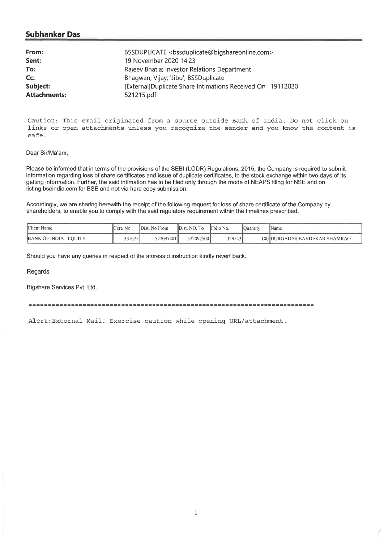# **Subhankar Das**

| From:               | BSSDUPLICATE <bssduplicate@bigshareonline.com></bssduplicate@bigshareonline.com> |
|---------------------|----------------------------------------------------------------------------------|
| Sent:               | 19 November 2020 14:23                                                           |
| To:                 | Rajeev Bhatia; Investor Relations Department                                     |
| Cc                  | Bhaqwan; Vijay; 'Jibu'; BSSDuplicate                                             |
| Subject:            | [External]Duplicate Share Intimations Received On: 19112020                      |
| <b>Attachments:</b> | 521215.pdf                                                                       |

Caution: This email originated from a source outside Bank of India. Do not click on links or open attachments unless you recognize the sender and you know the content is safe.

### Dear Sir/Ma'am,

Please be informed that in terms of the provisions of the SEBI (LODR) Regulations, 2015, the Company is required to submit information regarding loss of share certificates and issue of duplicate certificates, to the stock exchange within two days of its getting information. Further, the said intimation has to be filed only through the mode of NEAPS filing for NSE and on listing.bseindia.com for BSE and not via hard copy submission.

Accordingly, we are sharing herewith the receipt of the following request for loss of share certificate of the Company by shareholders, to enable you to comply with the said regulatory requirement within the timelines prescribed.

| Client Name            | Tert. No | Dist. No From | Dist. NO. To | <b>IFolio</b> No. | <b>I</b> Ouantity | 'Name                         |
|------------------------|----------|---------------|--------------|-------------------|-------------------|-------------------------------|
| BANK OF INDIA - EQUITY | 3310751  | 522097401     | 522097500    | 329543            |                   | 100 DURGADAS BAVDEKAR SHAMRAO |

Should you have any queries in respect of the aforesaid instruction kindly revert back.

Regards,

#### Bigshare Services Pvt. Ltd.

Alert:External Mail! Exercise caution while opening URL/attachment.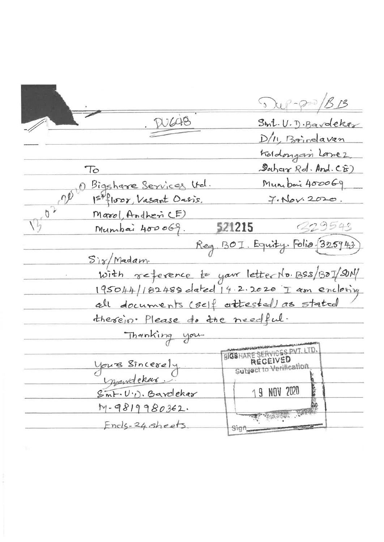$\sqrt{2\pi}$ DUC48 Smt. U. D. Bardeker D/11, Brindavan Koldongan Lomez Sahar Rd. And. CE)  $T_{\rm O}$ Munibois 400069 Bigshare Services Und.  $\overline{\mathcal{O}^{\circ}}$ 1st floor, Vasant Ousis.  $7.16v.2020.$  $V_1$   $\overline{V_2}$ Marol, AndhericE) 329543 Mumbai 400069. 521215 Reg. BOI. Equity. Folia 325943.  $Si\gamma/Madam$ with reference to your letter No BSS/BOI/SUN 195044/182488 dated 14.2.2020 I am enclosing all documents (self attested) as stated therein. Please do the needful. Thanking you. BIGSHARE SERVICES PVT. LTD. REGEIVED <u>Vours Sincerely</u> Subject to Verification mendekar 19 NOV 2020 Smt. U.D. Bardekar  $M-9819980362.$  $\mathcal{D}_{\text{opt}}$  and Encls 24 sheets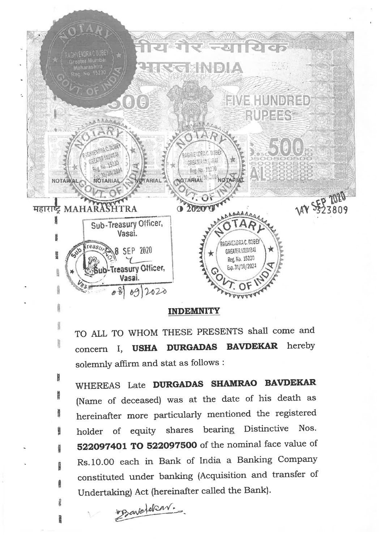

# **INDEMNITY**

TO ALL TO WHOM THESE PRESENTS shall come and concern I, **USHA DURGADAS BAVDEKAR** hereby solemnly affirm and stat as follows :

WHEREAS Late **DURGADAS SHAMRAO BAVDEKAR**  (Name of deceased) was at the date of his death as hereinafter more particularly mentioned the registered holder of equity shares bearing. Distinctive Nos. **522097401 TO 522097500** of the nominal face value of Rs.10.00 each in Bank of India a Banking Company constituted under banking (Acquisition and transfer of Undertaking) Act (hereinafter called the Bank).

bozavetekent.

N

Ĩ

**PARK** 

Ŗ

I

 $\frac{5}{11}$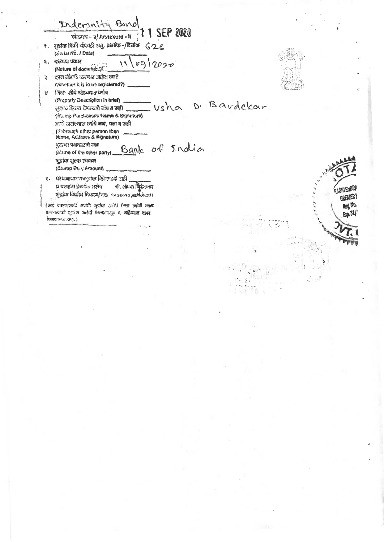Indemnity Band  $211$  SEP 2020 II - enoxanta (s - taistan 9. सुद्रांक विक्री सेंदवड़ी अनु. संखांक -/दिलांक  $626$  $\overline{1}$ (Solial No. / Date)  $116912020$ २. दरताया प्रकार (Nature of dominant). ३ - दस्त मौदणी करणार आहेत का? ewhether it is to be sepistered?) लिटरु तीचे शोडवरात राणंज  $\mathbf{a}$ (Property Description in brief) D. Bardekar . usha न्तान्ड किरन्त चेणाच्यावे सांब व सही (Stamp Perchaser's Name & Signature) हमले असल्यास व्यांधे **जाव, पत्ता य सा**री (Fibrough other person then<br>Name, Address & Signature) Bank of India पुरुष्ण पक्षकप्रशये नाव (Name of the other party) मुझांक शुल्क रथकन (Stamp Dury Amount) ९. परमानायार जन्दुकंड शिक्षणाकी जही व परवांना के केंद्र तसेच शी. शोयना वैकेड<del>तार</del> मुद्रांचा विद्योगि दिकाण/पतः १२०३०१० समीक्षेपण ( (उदा सक्तपहरूपी अपनी सुहांक ठरेरी ऐन्सा त्यांनी स्थान कार-करनारी सुटांक जरंदी केल्यामधून व अठिन्यात वापर BURRETO & APS.)  $\overrightarrow{c}$ 

RAGHVENDRI

**GREATER!** Reg. No.

Erg. 31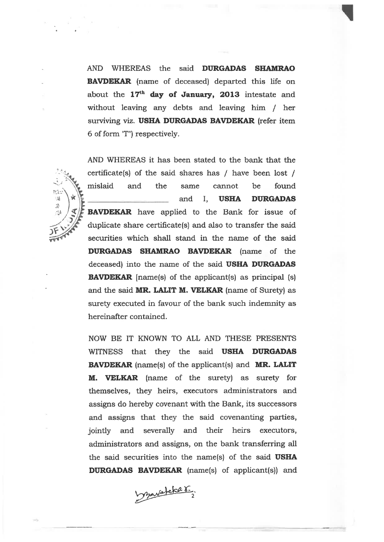AND WHEREAS the said **DURGADAS SHAMRAO BAVDEKAR** (name of deceased) departed this life on about the 17<sup>th</sup> day of January, 2013 intestate and without leaving any debts and leaving him / her surviving viz. **USHA DURGADAS BAVDEKAR** (refer item 6 of form TT") respectively.

AND WHEREAS it has been stated to the bank that the certificate(s) of the said shares has / have been lost / mislaid and the same cannot be found and I, **USHA DURGADAS BAVDEKAR** have applied to the Bank for issue of duplicate share certificate(s) and also to transfer the said securities which shall stand in the name of the said **DURGADAS SHAMRAO BAVDEKAR** (name of the deceased) into the name of the said **USHA DURGADAS BAVDEKAR** [name(s) of the applicant(s) as principal (s) and the said **MR. LALIT M. VELKAR** (name of Surety) as surety executed in favour of the bank such indemnity as hereinafter contained.

Nico A) J.

> NOW BE IT KNOWN TO ALL AND THESE PRESENTS WITNESS that they the said **USHA DURGADAS BAVDEKAR** (name(s) of the applicant(s) and **MR. LALIT M. VELKAR** (name of the surety) as surety for themselves, they heirs, executors administrators and assigns do hereby covenant with the Bank, its successors and assigns that they the said covenanting parties, jointly and severally and their heirs executors, administrators and assigns, on the bank transferring all the said securities into the name(s) of the said **USHA DURGADAS BAVDEKAR** (name(s) of applicant(s)) and

mavatche r.